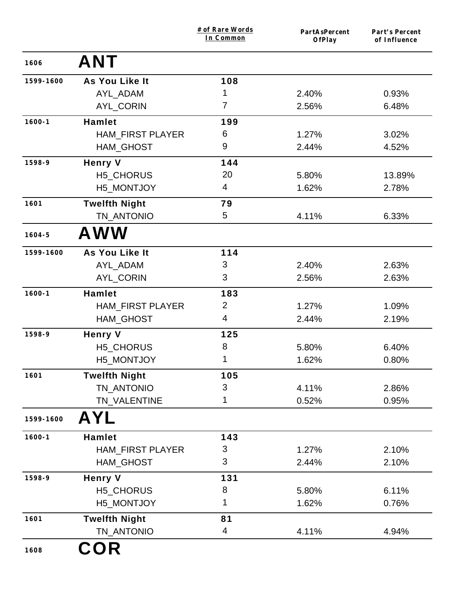|            |                         | # of Rare Words<br>In Common | PartAsPercent<br>OfPlay | Part's Percent<br>of Influence |
|------------|-------------------------|------------------------------|-------------------------|--------------------------------|
| 1606       | <b>ANT</b>              |                              |                         |                                |
| 1599-1600  | As You Like It          | 108                          |                         |                                |
|            | AYL_ADAM                | 1                            | 2.40%                   | 0.93%                          |
|            | <b>AYL CORIN</b>        | 7                            | 2.56%                   | 6.48%                          |
| $1600 - 1$ | <b>Hamlet</b>           | 199                          |                         |                                |
|            | <b>HAM_FIRST PLAYER</b> | 6                            | 1.27%                   | 3.02%                          |
|            | <b>HAM_GHOST</b>        | 9                            | 2.44%                   | 4.52%                          |
| 1598-9     | <b>Henry V</b>          | 144                          |                         |                                |
|            | H5_CHORUS               | 20                           | 5.80%                   | 13.89%                         |
|            | H5_MONTJOY              | 4                            | 1.62%                   | 2.78%                          |
| 1601       | <b>Twelfth Night</b>    | 79                           |                         |                                |
|            | TN_ANTONIO              | 5                            | 4.11%                   | 6.33%                          |
| $1604 - 5$ | <b>AWW</b>              |                              |                         |                                |
| 1599-1600  | As You Like It          | 114                          |                         |                                |
|            | AYL_ADAM                | 3                            | 2.40%                   | 2.63%                          |
|            | AYL_CORIN               | 3                            | 2.56%                   | 2.63%                          |
| $1600 - 1$ | <b>Hamlet</b>           | 183                          |                         |                                |
|            | <b>HAM_FIRST PLAYER</b> | $\overline{2}$               | 1.27%                   | 1.09%                          |
|            | <b>HAM_GHOST</b>        | 4                            | 2.44%                   | 2.19%                          |
| 1598-9     | <b>Henry V</b>          | 125                          |                         |                                |
|            | H5_CHORUS               | 8                            | 5.80%                   | 6.40%                          |
|            | H5_MONTJOY              | 1                            | 1.62%                   | 0.80%                          |
| 1601       | <b>Twelfth Night</b>    | 105                          |                         |                                |
|            | TN_ANTONIO              | 3                            | 4.11%                   | 2.86%                          |
|            | TN_VALENTINE            | 1                            | 0.52%                   | 0.95%                          |
| 1599-1600  | <b>AYL</b>              |                              |                         |                                |
| $1600 - 1$ | <b>Hamlet</b>           | 143                          |                         |                                |
|            | <b>HAM_FIRST PLAYER</b> | 3                            | 1.27%                   | 2.10%                          |
|            | <b>HAM_GHOST</b>        | 3                            | 2.44%                   | 2.10%                          |
| 1598-9     | <b>Henry V</b>          | 131                          |                         |                                |
|            | H5_CHORUS               | 8                            | 5.80%                   | 6.11%                          |
|            | H5_MONTJOY              | 1                            | 1.62%                   | 0.76%                          |
| 1601       | <b>Twelfth Night</b>    | 81                           |                         |                                |
|            | TN_ANTONIO              | 4                            | 4.11%                   | 4.94%                          |
| 1608       | <b>COR</b>              |                              |                         |                                |
|            |                         |                              |                         |                                |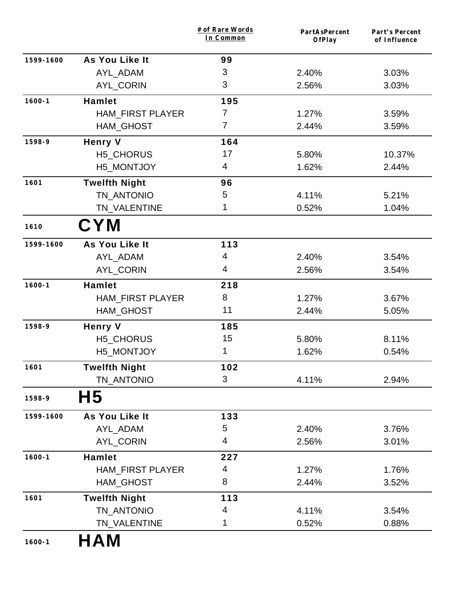|            |                         | # of Rare Words<br>In Common | PartAsPercent<br>OfPlay | Part's Percent<br>of Influence |
|------------|-------------------------|------------------------------|-------------------------|--------------------------------|
| 1599-1600  | As You Like It          | 99                           |                         |                                |
|            | AYL_ADAM                | 3                            | 2.40%                   | 3.03%                          |
|            | AYL_CORIN               | 3                            | 2.56%                   | 3.03%                          |
| $1600 - 1$ | <b>Hamlet</b>           | 195                          |                         |                                |
|            | <b>HAM FIRST PLAYER</b> | 7                            | 1.27%                   | 3.59%                          |
|            | HAM_GHOST               | 7                            | 2.44%                   | 3.59%                          |
| 1598-9     | <b>Henry V</b>          | 164                          |                         |                                |
|            | H5_CHORUS               | 17                           | 5.80%                   | 10.37%                         |
|            | H5_MONTJOY              | 4                            | 1.62%                   | 2.44%                          |
| 1601       | <b>Twelfth Night</b>    | 96                           |                         |                                |
|            | TN ANTONIO              | 5                            | 4.11%                   | 5.21%                          |
|            | TN_VALENTINE            | 1                            | 0.52%                   | 1.04%                          |
| 1610       | <b>CYM</b>              |                              |                         |                                |
| 1599-1600  | As You Like It          | $113$                        |                         |                                |
|            | AYL_ADAM                | 4                            | 2.40%                   | 3.54%                          |
|            | AYL_CORIN               | 4                            | 2.56%                   | 3.54%                          |
| $1600 - 1$ | <b>Hamlet</b>           | 218                          |                         |                                |
|            | <b>HAM_FIRST PLAYER</b> | 8                            | 1.27%                   | 3.67%                          |
|            | HAM_GHOST               | 11                           | 2.44%                   | 5.05%                          |
| 1598-9     | <b>Henry V</b>          | 185                          |                         |                                |
|            | H5_CHORUS               | 15                           | 5.80%                   | 8.11%                          |
|            | H5_MONTJOY              | 1                            | 1.62%                   | 0.54%                          |
| 1601       | <b>Twelfth Night</b>    | 102                          |                         |                                |
|            | TN ANTONIO              | 3                            | 4.11%                   | 2.94%                          |
| 1598-9     | H5                      |                              |                         |                                |
| 1599-1600  | As You Like It          | 133                          |                         |                                |
|            | AYL ADAM                | 5                            | 2.40%                   | 3.76%                          |
|            | <b>AYL CORIN</b>        | 4                            | 2.56%                   | 3.01%                          |
| $1600 - 1$ | <b>Hamlet</b>           | 227                          |                         |                                |
|            | <b>HAM_FIRST PLAYER</b> | 4                            | 1.27%                   | 1.76%                          |
|            | HAM_GHOST               | 8                            | 2.44%                   | 3.52%                          |
| 1601       | <b>Twelfth Night</b>    | 113                          |                         |                                |
|            | TN_ANTONIO              | 4                            | 4.11%                   | 3.54%                          |
|            | TN_VALENTINE            | 1                            | 0.52%                   | 0.88%                          |
| $1600 - 1$ | HAM                     |                              |                         |                                |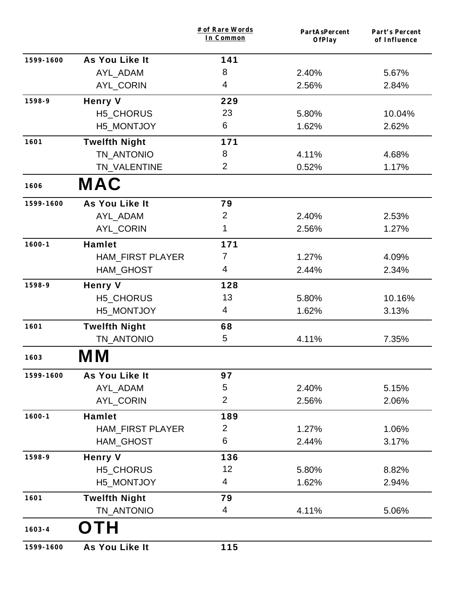|            |                         | # of Rare Words<br>In Common | PartAsPercent<br>OfPlay | Part's Percent<br>of Influence |
|------------|-------------------------|------------------------------|-------------------------|--------------------------------|
| 1599-1600  | As You Like It          | 141                          |                         |                                |
|            | AYL_ADAM                | 8                            | 2.40%                   | 5.67%                          |
|            | AYL_CORIN               | 4                            | 2.56%                   | 2.84%                          |
| 1598-9     | <b>Henry V</b>          | 229                          |                         |                                |
|            | H5_CHORUS               | 23                           | 5.80%                   | 10.04%                         |
|            | H5_MONTJOY              | 6                            | 1.62%                   | 2.62%                          |
| 1601       | <b>Twelfth Night</b>    | 171                          |                         |                                |
|            | TN_ANTONIO              | 8                            | 4.11%                   | 4.68%                          |
|            | TN_VALENTINE            | 2                            | 0.52%                   | 1.17%                          |
| 1606       | <b>MAC</b>              |                              |                         |                                |
| 1599-1600  | As You Like It          | 79                           |                         |                                |
|            | AYL_ADAM                | $\overline{2}$               | 2.40%                   | 2.53%                          |
|            | AYL_CORIN               | 1                            | 2.56%                   | 1.27%                          |
| $1600 - 1$ | <b>Hamlet</b>           | 171                          |                         |                                |
|            | <b>HAM_FIRST PLAYER</b> | 7                            | 1.27%                   | 4.09%                          |
|            | HAM_GHOST               | 4                            | 2.44%                   | 2.34%                          |
| 1598-9     | <b>Henry V</b>          | 128                          |                         |                                |
|            | H5_CHORUS               | 13                           | 5.80%                   | 10.16%                         |
|            | H5_MONTJOY              | 4                            | 1.62%                   | 3.13%                          |
| 1601       | <b>Twelfth Night</b>    | 68                           |                         |                                |
|            | TN ANTONIO              | 5                            | 4.11%                   | 7.35%                          |
| 1603       | M M                     |                              |                         |                                |
| 1599-1600  | As You Like It          | 97                           |                         |                                |
|            | AYL_ADAM                | 5                            | 2.40%                   | 5.15%                          |
|            | AYL_CORIN               | $\overline{2}$               | 2.56%                   | 2.06%                          |
| $1600 - 1$ | <b>Hamlet</b>           | 189                          |                         |                                |
|            | <b>HAM_FIRST PLAYER</b> | $\overline{2}$               | 1.27%                   | 1.06%                          |
|            | <b>HAM GHOST</b>        | 6                            | 2.44%                   | 3.17%                          |
| 1598-9     | <b>Henry V</b>          | 136                          |                         |                                |
|            | H5_CHORUS               | 12                           | 5.80%                   | 8.82%                          |
|            | H5_MONTJOY              | 4                            | 1.62%                   | 2.94%                          |
| 1601       | <b>Twelfth Night</b>    | 79                           |                         |                                |
|            | TN_ANTONIO              | 4                            | 4.11%                   | 5.06%                          |
| $1603 - 4$ | TΗ                      |                              |                         |                                |
| 1599-1600  | As You Like It          | 115                          |                         |                                |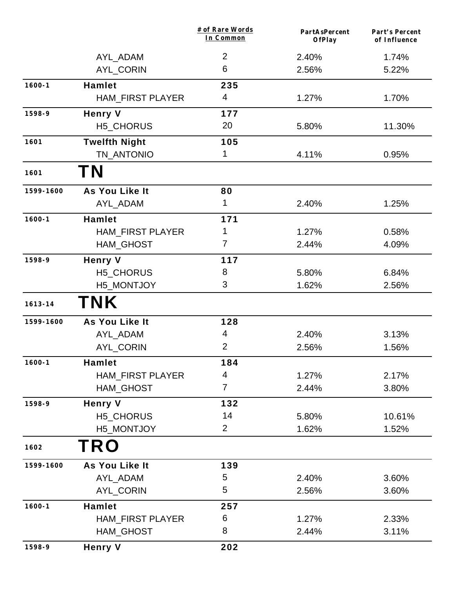|             |                         | # of Rare Words<br>In Common | PartAsPercent<br><b>OfPlay</b> | Part's Percent<br>of Influence |
|-------------|-------------------------|------------------------------|--------------------------------|--------------------------------|
|             | AYL_ADAM                | $\overline{2}$               | 2.40%                          | 1.74%                          |
|             | <b>AYL_CORIN</b>        | 6                            | 2.56%                          | 5.22%                          |
| $1600 - 1$  | <b>Hamlet</b>           | 235                          |                                |                                |
|             | <b>HAM_FIRST PLAYER</b> | 4                            | 1.27%                          | 1.70%                          |
| 1598-9      | <b>Henry V</b>          | 177                          |                                |                                |
|             | H5_CHORUS               | 20                           | 5.80%                          | 11.30%                         |
| 1601        | <b>Twelfth Night</b>    | 105                          |                                |                                |
|             | TN_ANTONIO              | 1                            | 4.11%                          | 0.95%                          |
| 1601        | <b>TN</b>               |                              |                                |                                |
| 1599-1600   | As You Like It          | 80                           |                                |                                |
|             | AYL_ADAM                | 1                            | 2.40%                          | 1.25%                          |
| $1600 - 1$  | <b>Hamlet</b>           | 171                          |                                |                                |
|             | <b>HAM_FIRST PLAYER</b> | 1                            | 1.27%                          | 0.58%                          |
|             | HAM_GHOST               | $\overline{7}$               | 2.44%                          | 4.09%                          |
| 1598-9      | <b>Henry V</b>          | 117                          |                                |                                |
|             | H5_CHORUS               | 8                            | 5.80%                          | 6.84%                          |
|             | H5_MONTJOY              | 3                            | 1.62%                          | 2.56%                          |
| $1613 - 14$ | <b>TNK</b>              |                              |                                |                                |
| 1599-1600   | As You Like It          | 128                          |                                |                                |
|             | AYL_ADAM                | 4                            | 2.40%                          | 3.13%                          |
|             | <b>AYL_CORIN</b>        | $\overline{2}$               | 2.56%                          | 1.56%                          |
| $1600 - 1$  | <b>Hamlet</b>           | 184                          |                                |                                |
|             | <b>HAM_FIRST PLAYER</b> | 4                            | 1.27%                          | 2.17%                          |
|             | <b>HAM_GHOST</b>        | $\overline{7}$               | 2.44%                          | 3.80%                          |
| 1598-9      | <b>Henry V</b>          | 132                          |                                |                                |
|             | H5_CHORUS               | 14                           | 5.80%                          | 10.61%                         |
|             | H5_MONTJOY              | $\overline{2}$               | 1.62%                          | 1.52%                          |
| 1602        | <b>TRO</b>              |                              |                                |                                |
| 1599-1600   | As You Like It          | 139                          |                                |                                |
|             | AYL_ADAM                | 5                            | 2.40%                          | 3.60%                          |
|             | AYL_CORIN               | 5                            | 2.56%                          | 3.60%                          |
| $1600 - 1$  | <b>Hamlet</b>           | 257                          |                                |                                |
|             | <b>HAM_FIRST PLAYER</b> | 6                            | 1.27%                          | 2.33%                          |
|             | <b>HAM_GHOST</b>        | 8                            | 2.44%                          | 3.11%                          |
| 1598-9      | <b>Henry V</b>          | 202                          |                                |                                |